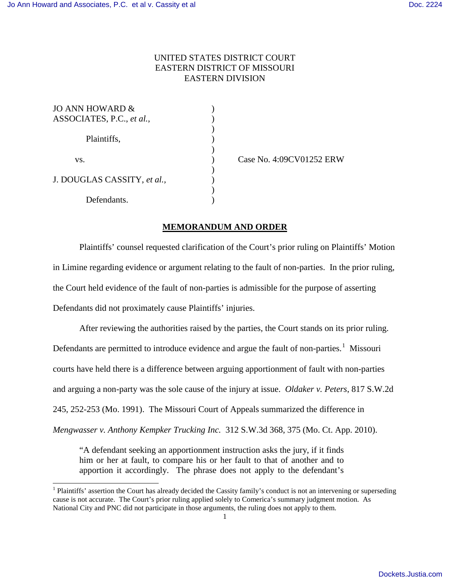## UNITED STATES DISTRICT COURT EASTERN DISTRICT OF MISSOURI EASTERN DIVISION

| <b>JO ANN HOWARD &amp;</b>  |  |
|-----------------------------|--|
| ASSOCIATES, P.C., et al.,   |  |
|                             |  |
| Plaintiffs,                 |  |
|                             |  |
| VS.                         |  |
|                             |  |
| J. DOUGLAS CASSITY, et al., |  |
|                             |  |
| Defendants.                 |  |

 $\overline{a}$ 

(ase No. 4:09CV01252 ERW)

## **MEMORANDUM AND ORDER**

 Plaintiffs' counsel requested clarification of the Court's prior ruling on Plaintiffs' Motion in Limine regarding evidence or argument relating to the fault of non-parties. In the prior ruling, the Court held evidence of the fault of non-parties is admissible for the purpose of asserting Defendants did not proximately cause Plaintiffs' injuries.

After reviewing the authorities raised by the parties, the Court stands on its prior ruling. Defendants are permitted to introduce evidence and argue the fault of non-parties.<sup>[1](#page-0-0)</sup> Missouri courts have held there is a difference between arguing apportionment of fault with non-parties and arguing a non-party was the sole cause of the injury at issue. *Oldaker v. Peters*, 817 S.W.2d 245, 252-253 (Mo. 1991). The Missouri Court of Appeals summarized the difference in *Mengwasser v. Anthony Kempker Trucking Inc.* 312 S.W.3d 368, 375 (Mo. Ct. App. 2010).

"A defendant seeking an apportionment instruction asks the jury, if it finds him or her at fault, to compare his or her fault to that of another and to apportion it accordingly. The phrase does not apply to the defendant's

<span id="page-0-0"></span><sup>&</sup>lt;sup>1</sup> Plaintiffs' assertion the Court has already decided the Cassity family's conduct is not an intervening or superseding cause is not accurate. The Court's prior ruling applied solely to Comerica's summary judgment motion. As National City and PNC did not participate in those arguments, the ruling does not apply to them.